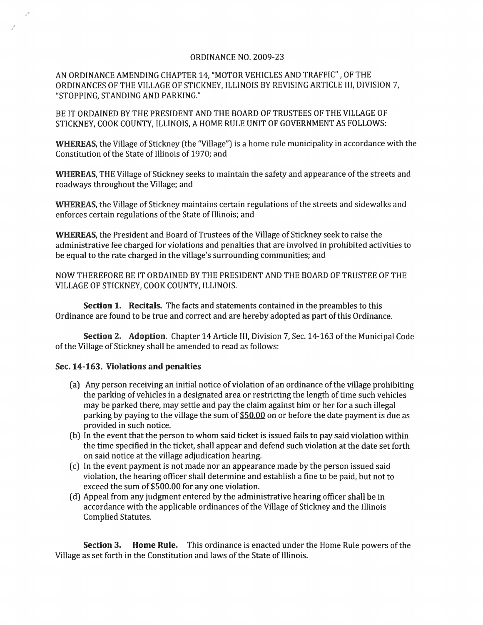## ORDINANCE NO. 2009-23

AN ORDINANCE AMENDING CHAPTER 14, "MOTOR VEHICLES AND TRAFFIC" ,OF THE ORDINANCES OF THE VILLAGE OF STICKNEY, ILLINOIS BY REVISING ARTICLE III, DIVISION 7, "STOPPING, STANDING AND PARKING."

BE IT ORDAINED BY THE PRESIDENT AND THE BOARD OF TRUSTEES OF THE VILLAGE OF STICKNEY, COOK COUNTY, ILLINOIS, A HOME RULE UNIT OF GOVERNMENT AS FOLLOWS:

WHEREAS, the Village of Stickney (the "Village") is a home rule municipality in accordance with the Constitution of the State of Illinois of 1970; and

WHEREAS, THE Village of Stickney seeks to maintain the safety and appearance of the streets and roadways throughout the Village; and

WHEREAS, the Village of Stickney maintains certain regulations of the streets and sidewalks and enforces certain regulations of the State of Illinois; and

WHEREAS, the President and Board of Trustees of the Village of Stickney seek to raise the administrative fee charged for violations and penalties that are involved in prohibited activities to be equal to the rate charged in the village's surrounding communities; and

NOW THEREFORE BE IT ORDAINED BY THE PRESIDENT AND THE BOARD OF TRUSTEE OF THE VILLAGE OF STICKNEY, COOK COUNTY, ILLINOIS.

Section 1. Recitals. The facts and statements contained in the preambles to this Ordinance are found to be true and correct and are hereby adopted as part of this Ordinance.

Section 2. Adoption. Chapter 14 Article HI, Division 7, Sec, 14-163 of the Municipal Code of the Village of Stickney shall be amended to read as follows:

## Sec. 14-163, Violations and penalties

- (a) Any person receiving an initial notice of violation of an ordinance of the village prohibiting the parking of vehicles in a designated area or restricting the length of time such vehicles may be parked there, may settle and pay the claim against him or her for a such illegal parking by paying to the village the sum of \$50,00 on or before the date payment is due as provided in such notice.
- (b) In the event that the person to whom said ticket is issued fails to pay said violation within the time specified in the ticket, shall appear and defend such violation at the date set forth on said notice at the village adjudication hearing.
- ( c) In the event payment is not made nor an appearance made by the person issued said violation, the hearing officer shall determine and establish a fine to be paid, but not to exceed the sum of \$500.00 for anyone violation.
- (d) Appeal from any judgment entered by the administrative hearing officer shall be in accordance with the applicable ordinances of the Village of Stickney and the Illinois Complied Statutes.

Section 3. Home Rule, This ordinance is enacted under the Home Rule powers of the Village as set forth in the Constitution and laws of the State of Illinois.